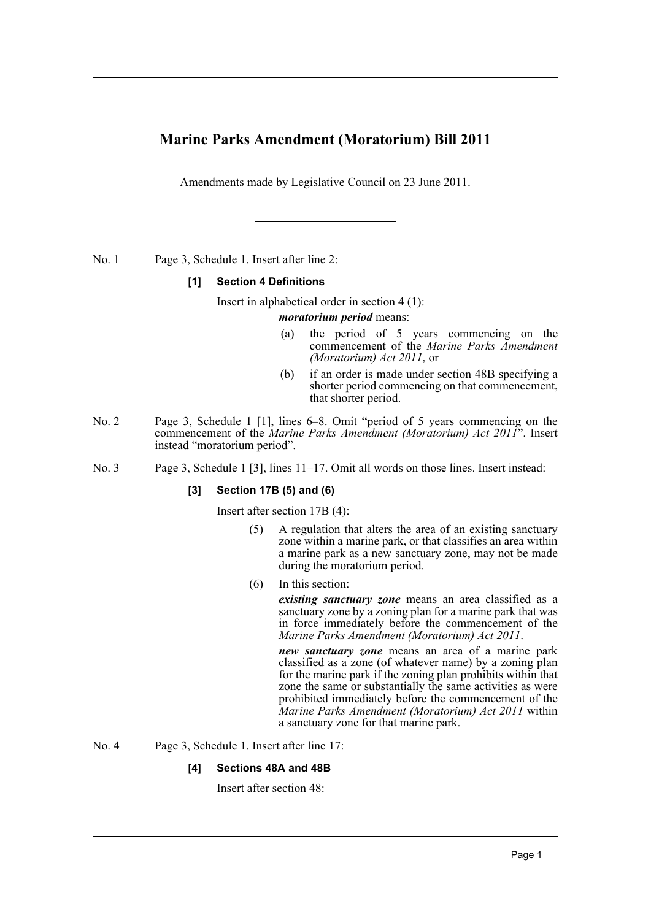# **Marine Parks Amendment (Moratorium) Bill 2011**

Amendments made by Legislative Council on 23 June 2011.

No. 1 Page 3, Schedule 1. Insert after line 2:

## **[1] Section 4 Definitions**

Insert in alphabetical order in section 4 (1):

#### *moratorium period* means:

- (a) the period of 5 years commencing on the commencement of the *Marine Parks Amendment (Moratorium) Act 2011*, or
- (b) if an order is made under section 48B specifying a shorter period commencing on that commencement, that shorter period.
- No. 2 Page 3, Schedule 1 [1], lines 6–8. Omit "period of 5 years commencing on the commencement of the *Marine Parks Amendment (Moratorium) Act 2011*". Insert instead "moratorium period".
- No. 3 Page 3, Schedule 1 [3], lines 11–17. Omit all words on those lines. Insert instead:

### **[3] Section 17B (5) and (6)**

Insert after section 17B (4):

- (5) A regulation that alters the area of an existing sanctuary zone within a marine park, or that classifies an area within a marine park as a new sanctuary zone, may not be made during the moratorium period.
- (6) In this section:

*existing sanctuary zone* means an area classified as a sanctuary zone by a zoning plan for a marine park that was in force immediately before the commencement of the *Marine Parks Amendment (Moratorium) Act 2011*.

*new sanctuary zone* means an area of a marine park classified as a zone (of whatever name) by a zoning plan for the marine park if the zoning plan prohibits within that zone the same or substantially the same activities as were prohibited immediately before the commencement of the *Marine Parks Amendment (Moratorium) Act 2011* within a sanctuary zone for that marine park.

No. 4 Page 3, Schedule 1. Insert after line 17:

### **[4] Sections 48A and 48B**

Insert after section 48: